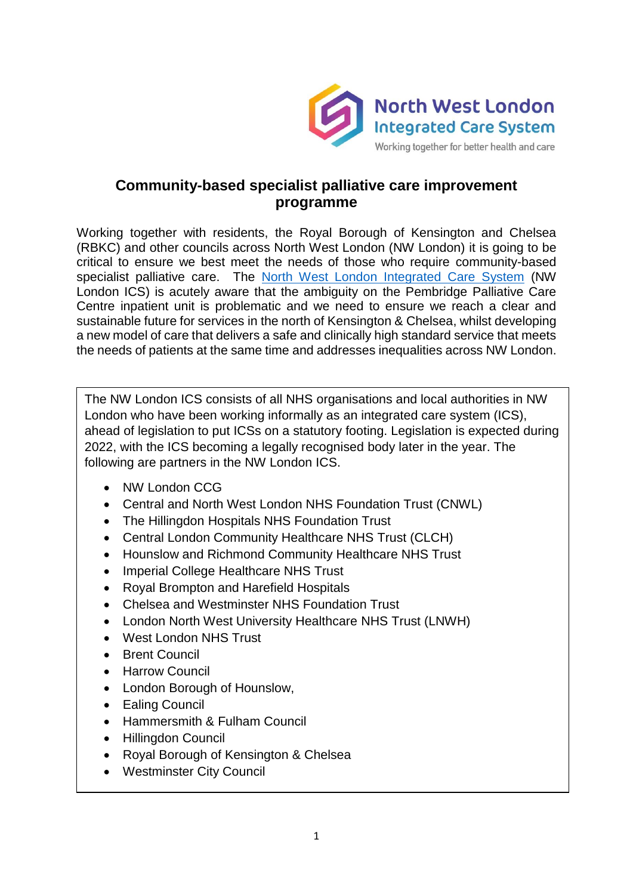

### **Community-based specialist palliative care improvement programme**

Working together with residents, the Royal Borough of Kensington and Chelsea (RBKC) and other councils across North West London (NW London) it is going to be critical to ensure we best meet the needs of those who require community-based specialist palliative care. The [North West London Integrated Care System](https://www.nwlondonics.nhs.uk/) (NW London ICS) is acutely aware that the ambiguity on the Pembridge Palliative Care Centre inpatient unit is problematic and we need to ensure we reach a clear and sustainable future for services in the north of Kensington & Chelsea, whilst developing a new model of care that delivers a safe and clinically high standard service that meets the needs of patients at the same time and addresses inequalities across NW London.

The NW London ICS consists of all NHS organisations and local authorities in NW London who have been working informally as an integrated care system (ICS), ahead of legislation to put ICSs on a statutory footing. Legislation is expected during 2022, with the ICS becoming a legally recognised body later in the year. The following are partners in the NW London ICS.

- NW London CCG
- Central and North West London NHS Foundation Trust (CNWL)
- The Hillingdon Hospitals NHS Foundation Trust
- Central London Community Healthcare NHS Trust (CLCH)
- Hounslow and Richmond Community Healthcare NHS Trust
- Imperial College Healthcare NHS Trust
- Royal Brompton and Harefield Hospitals
- Chelsea and Westminster NHS Foundation Trust
- London North West University Healthcare NHS Trust (LNWH)
- West London NHS Trust
- Brent Council
- **•** Harrow Council
- London Borough of Hounslow,
- Ealing Council
- Hammersmith & Fulham Council
- Hillingdon Council
- Royal Borough of Kensington & Chelsea
- Westminster City Council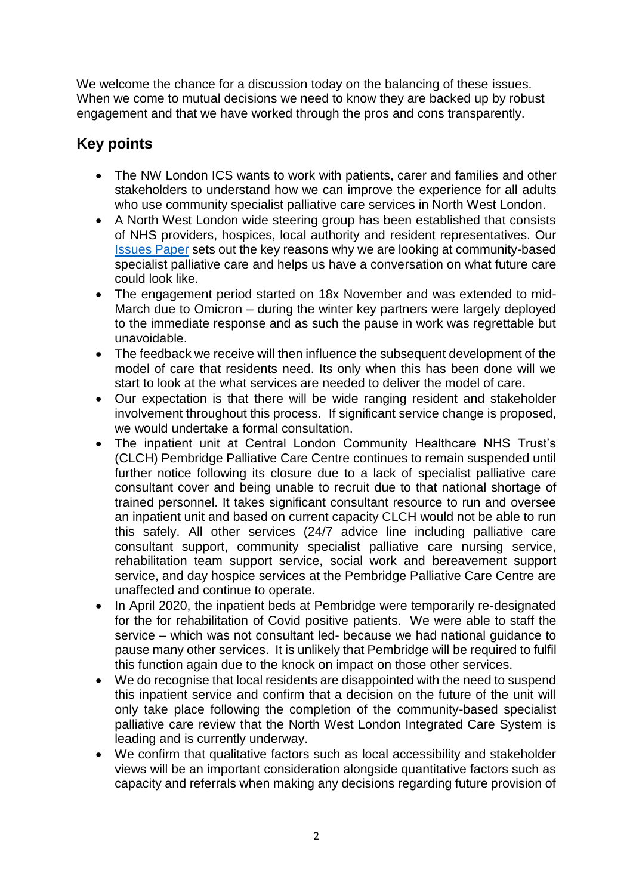We welcome the chance for a discussion today on the balancing of these issues. When we come to mutual decisions we need to know they are backed up by robust engagement and that we have worked through the pros and cons transparently.

# **Key points**

- The NW London ICS wants to work with patients, carer and families and other stakeholders to understand how we can improve the experience for all adults who use community specialist palliative care services in North West London.
- A North West London wide steering group has been established that consists of NHS providers, hospices, local authority and resident representatives. Our [Issues Paper](https://www.nwlondonics.nhs.uk/application/files/1616/3724/5470/NW_London_ICS_Community-based_specialist_palliative_care_review.pdf) sets out the key reasons why we are looking at community-based specialist palliative care and helps us have a conversation on what future care could look like.
- The engagement period started on 18x November and was extended to mid-March due to Omicron – during the winter key partners were largely deployed to the immediate response and as such the pause in work was regrettable but unavoidable.
- The feedback we receive will then influence the subsequent development of the model of care that residents need. Its only when this has been done will we start to look at the what services are needed to deliver the model of care.
- Our expectation is that there will be wide ranging resident and stakeholder involvement throughout this process. If significant service change is proposed, we would undertake a formal consultation.
- The inpatient unit at Central London Community Healthcare NHS Trust's (CLCH) Pembridge Palliative Care Centre continues to remain suspended until further notice following its closure due to a lack of specialist palliative care consultant cover and being unable to recruit due to that national shortage of trained personnel. It takes significant consultant resource to run and oversee an inpatient unit and based on current capacity CLCH would not be able to run this safely. All other services (24/7 advice line including palliative care consultant support, community specialist palliative care nursing service, rehabilitation team support service, social work and bereavement support service, and day hospice services at the Pembridge Palliative Care Centre are unaffected and continue to operate.
- In April 2020, the inpatient beds at Pembridge were temporarily re-designated for the for rehabilitation of Covid positive patients. We were able to staff the service – which was not consultant led- because we had national guidance to pause many other services. It is unlikely that Pembridge will be required to fulfil this function again due to the knock on impact on those other services.
- We do recognise that local residents are disappointed with the need to suspend this inpatient service and confirm that a decision on the future of the unit will only take place following the completion of the community-based specialist palliative care review that the North West London Integrated Care System is leading and is currently underway.
- We confirm that qualitative factors such as local accessibility and stakeholder views will be an important consideration alongside quantitative factors such as capacity and referrals when making any decisions regarding future provision of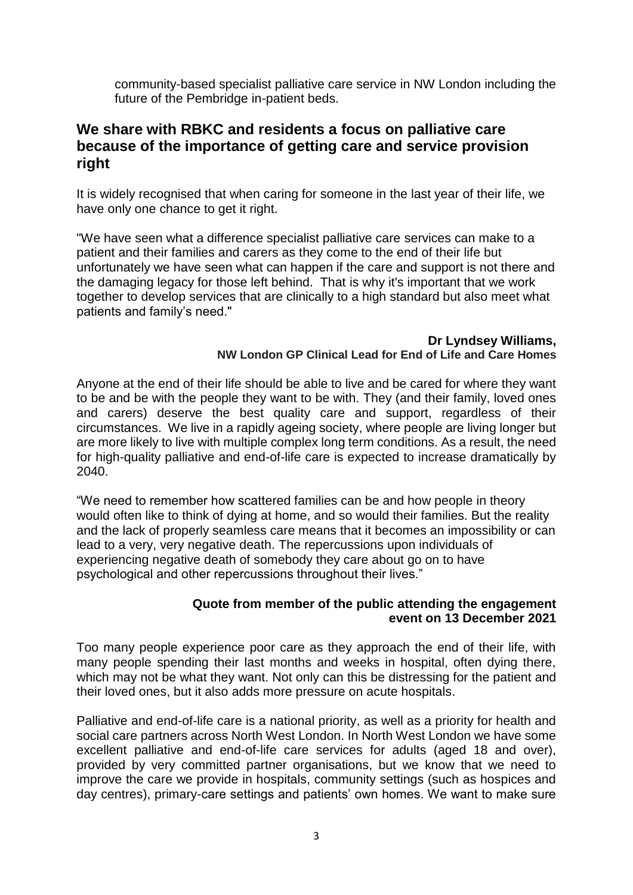community-based specialist palliative care service in NW London including the future of the Pembridge in-patient beds.

### **We share with RBKC and residents a focus on palliative care because of the importance of getting care and service provision right**

It is widely recognised that when caring for someone in the last year of their life, we have only one chance to get it right.

"We have seen what a difference specialist palliative care services can make to a patient and their families and carers as they come to the end of their life but unfortunately we have seen what can happen if the care and support is not there and the damaging legacy for those left behind. That is why it's important that we work together to develop services that are clinically to a high standard but also meet what patients and family's need."

#### **Dr Lyndsey Williams, NW London GP Clinical Lead for End of Life and Care Homes**

Anyone at the end of their life should be able to live and be cared for where they want to be and be with the people they want to be with. They (and their family, loved ones and carers) deserve the best quality care and support, regardless of their circumstances. We live in a rapidly ageing society, where people are living longer but are more likely to live with multiple complex long term conditions. As a result, the need for high-quality palliative and end-of-life care is expected to increase dramatically by 2040.

"We need to remember how scattered families can be and how people in theory would often like to think of dying at home, and so would their families. But the reality and the lack of properly seamless care means that it becomes an impossibility or can lead to a very, very negative death. The repercussions upon individuals of experiencing negative death of somebody they care about go on to have psychological and other repercussions throughout their lives."

#### **Quote from member of the public attending the engagement event on 13 December 2021**

Too many people experience poor care as they approach the end of their life, with many people spending their last months and weeks in hospital, often dying there, which may not be what they want. Not only can this be distressing for the patient and their loved ones, but it also adds more pressure on acute hospitals.

Palliative and end-of-life care is a national priority, as well as a priority for health and social care partners across North West London. In North West London we have some excellent palliative and end-of-life care services for adults (aged 18 and over), provided by very committed partner organisations, but we know that we need to improve the care we provide in hospitals, community settings (such as hospices and day centres), primary-care settings and patients' own homes. We want to make sure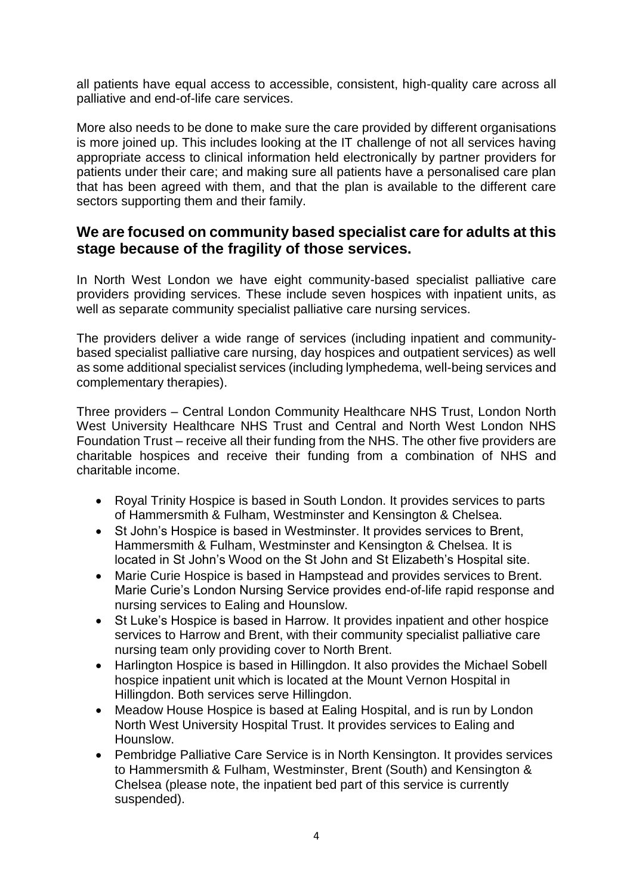all patients have equal access to accessible, consistent, high-quality care across all palliative and end-of-life care services.

More also needs to be done to make sure the care provided by different organisations is more joined up. This includes looking at the IT challenge of not all services having appropriate access to clinical information held electronically by partner providers for patients under their care; and making sure all patients have a personalised care plan that has been agreed with them, and that the plan is available to the different care sectors supporting them and their family.

### **We are focused on community based specialist care for adults at this stage because of the fragility of those services.**

In North West London we have eight community-based specialist palliative care providers providing services. These include seven hospices with inpatient units, as well as separate community specialist palliative care nursing services.

The providers deliver a wide range of services (including inpatient and communitybased specialist palliative care nursing, day hospices and outpatient services) as well as some additional specialist services (including lymphedema, well-being services and complementary therapies).

Three providers – Central London Community Healthcare NHS Trust, London North West University Healthcare NHS Trust and Central and North West London NHS Foundation Trust – receive all their funding from the NHS. The other five providers are charitable hospices and receive their funding from a combination of NHS and charitable income.

- Royal Trinity Hospice is based in South London. It provides services to parts of Hammersmith & Fulham, Westminster and Kensington & Chelsea.
- St John's Hospice is based in Westminster. It provides services to Brent, Hammersmith & Fulham, Westminster and Kensington & Chelsea. It is located in St John's Wood on the St John and St Elizabeth's Hospital site.
- Marie Curie Hospice is based in Hampstead and provides services to Brent. Marie Curie's London Nursing Service provides end-of-life rapid response and nursing services to Ealing and Hounslow.
- St Luke's Hospice is based in Harrow. It provides inpatient and other hospice services to Harrow and Brent, with their community specialist palliative care nursing team only providing cover to North Brent.
- Harlington Hospice is based in Hillingdon. It also provides the Michael Sobell hospice inpatient unit which is located at the Mount Vernon Hospital in Hillingdon. Both services serve Hillingdon.
- Meadow House Hospice is based at Ealing Hospital, and is run by London North West University Hospital Trust. It provides services to Ealing and Hounslow.
- Pembridge Palliative Care Service is in North Kensington. It provides services to Hammersmith & Fulham, Westminster, Brent (South) and Kensington & Chelsea (please note, the inpatient bed part of this service is currently suspended).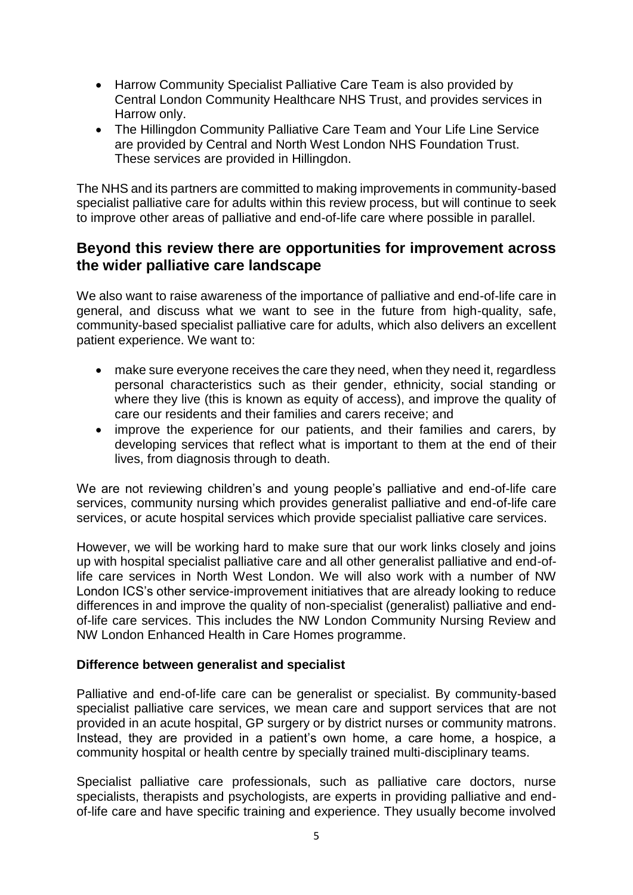- Harrow Community Specialist Palliative Care Team is also provided by Central London Community Healthcare NHS Trust, and provides services in Harrow only.
- The Hillingdon Community Palliative Care Team and Your Life Line Service are provided by Central and North West London NHS Foundation Trust. These services are provided in Hillingdon.

The NHS and its partners are committed to making improvements in community-based specialist palliative care for adults within this review process, but will continue to seek to improve other areas of palliative and end-of-life care where possible in parallel.

### **Beyond this review there are opportunities for improvement across the wider palliative care landscape**

We also want to raise awareness of the importance of palliative and end-of-life care in general, and discuss what we want to see in the future from high-quality, safe, community-based specialist palliative care for adults, which also delivers an excellent patient experience. We want to:

- make sure everyone receives the care they need, when they need it, regardless personal characteristics such as their gender, ethnicity, social standing or where they live (this is known as equity of access), and improve the quality of care our residents and their families and carers receive; and
- improve the experience for our patients, and their families and carers, by developing services that reflect what is important to them at the end of their lives, from diagnosis through to death.

We are not reviewing children's and young people's palliative and end-of-life care services, community nursing which provides generalist palliative and end-of-life care services, or acute hospital services which provide specialist palliative care services.

However, we will be working hard to make sure that our work links closely and joins up with hospital specialist palliative care and all other generalist palliative and end-oflife care services in North West London. We will also work with a number of NW London ICS's other service-improvement initiatives that are already looking to reduce differences in and improve the quality of non-specialist (generalist) palliative and endof-life care services. This includes the NW London Community Nursing Review and NW London Enhanced Health in Care Homes programme.

#### **Difference between generalist and specialist**

Palliative and end-of-life care can be generalist or specialist. By community-based specialist palliative care services, we mean care and support services that are not provided in an acute hospital, GP surgery or by district nurses or community matrons. Instead, they are provided in a patient's own home, a care home, a hospice, a community hospital or health centre by specially trained multi-disciplinary teams.

Specialist palliative care professionals, such as palliative care doctors, nurse specialists, therapists and psychologists, are experts in providing palliative and endof-life care and have specific training and experience. They usually become involved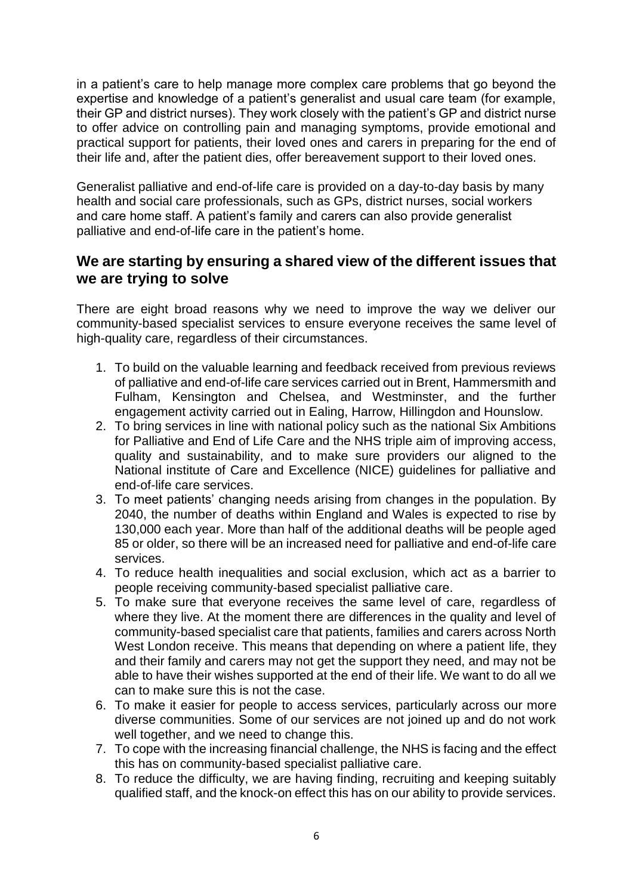in a patient's care to help manage more complex care problems that go beyond the expertise and knowledge of a patient's generalist and usual care team (for example, their GP and district nurses). They work closely with the patient's GP and district nurse to offer advice on controlling pain and managing symptoms, provide emotional and practical support for patients, their loved ones and carers in preparing for the end of their life and, after the patient dies, offer bereavement support to their loved ones.

Generalist palliative and end-of-life care is provided on a day-to-day basis by many health and social care professionals, such as GPs, district nurses, social workers and care home staff. A patient's family and carers can also provide generalist palliative and end-of-life care in the patient's home.

### **We are starting by ensuring a shared view of the different issues that we are trying to solve**

There are eight broad reasons why we need to improve the way we deliver our community-based specialist services to ensure everyone receives the same level of high-quality care, regardless of their circumstances.

- 1. To build on the valuable learning and feedback received from previous reviews of palliative and end-of-life care services carried out in Brent, Hammersmith and Fulham, Kensington and Chelsea, and Westminster, and the further engagement activity carried out in Ealing, Harrow, Hillingdon and Hounslow.
- 2. To bring services in line with national policy such as the national Six Ambitions for Palliative and End of Life Care and the NHS triple aim of improving access, quality and sustainability, and to make sure providers our aligned to the National institute of Care and Excellence (NICE) guidelines for palliative and end-of-life care services.
- 3. To meet patients' changing needs arising from changes in the population. By 2040, the number of deaths within England and Wales is expected to rise by 130,000 each year. More than half of the additional deaths will be people aged 85 or older, so there will be an increased need for palliative and end-of-life care services.
- 4. To reduce health inequalities and social exclusion, which act as a barrier to people receiving community-based specialist palliative care.
- 5. To make sure that everyone receives the same level of care, regardless of where they live. At the moment there are differences in the quality and level of community-based specialist care that patients, families and carers across North West London receive. This means that depending on where a patient life, they and their family and carers may not get the support they need, and may not be able to have their wishes supported at the end of their life. We want to do all we can to make sure this is not the case.
- 6. To make it easier for people to access services, particularly across our more diverse communities. Some of our services are not joined up and do not work well together, and we need to change this.
- 7. To cope with the increasing financial challenge, the NHS is facing and the effect this has on community-based specialist palliative care.
- 8. To reduce the difficulty, we are having finding, recruiting and keeping suitably qualified staff, and the knock-on effect this has on our ability to provide services.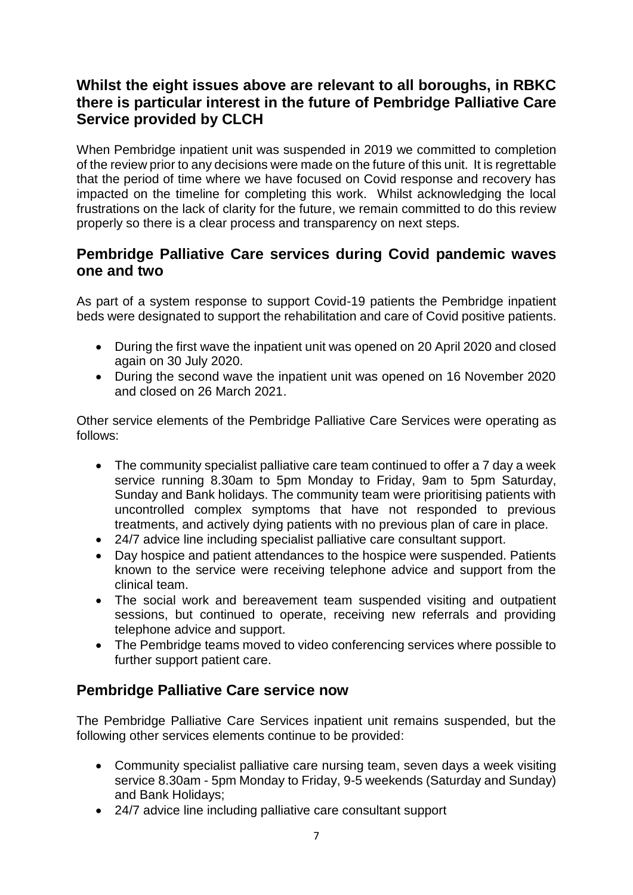# **Whilst the eight issues above are relevant to all boroughs, in RBKC there is particular interest in the future of Pembridge Palliative Care Service provided by CLCH**

When Pembridge inpatient unit was suspended in 2019 we committed to completion of the review prior to any decisions were made on the future of this unit. It is regrettable that the period of time where we have focused on Covid response and recovery has impacted on the timeline for completing this work. Whilst acknowledging the local frustrations on the lack of clarity for the future, we remain committed to do this review properly so there is a clear process and transparency on next steps.

### **Pembridge Palliative Care services during Covid pandemic waves one and two**

As part of a system response to support Covid-19 patients the Pembridge inpatient beds were designated to support the rehabilitation and care of Covid positive patients.

- During the first wave the inpatient unit was opened on 20 April 2020 and closed again on 30 July 2020.
- During the second wave the inpatient unit was opened on 16 November 2020 and closed on 26 March 2021.

Other service elements of the Pembridge Palliative Care Services were operating as follows:

- The community specialist palliative care team continued to offer a 7 day a week service running 8.30am to 5pm Monday to Friday, 9am to 5pm Saturday, Sunday and Bank holidays. The community team were prioritising patients with uncontrolled complex symptoms that have not responded to previous treatments, and actively dying patients with no previous plan of care in place.
- 24/7 advice line including specialist palliative care consultant support.
- Day hospice and patient attendances to the hospice were suspended. Patients known to the service were receiving telephone advice and support from the clinical team.
- The social work and bereavement team suspended visiting and outpatient sessions, but continued to operate, receiving new referrals and providing telephone advice and support.
- The Pembridge teams moved to video conferencing services where possible to further support patient care.

## **Pembridge Palliative Care service now**

The Pembridge Palliative Care Services inpatient unit remains suspended, but the following other services elements continue to be provided:

- Community specialist palliative care nursing team, seven days a week visiting service 8.30am - 5pm Monday to Friday, 9-5 weekends (Saturday and Sunday) and Bank Holidays;
- 24/7 advice line including palliative care consultant support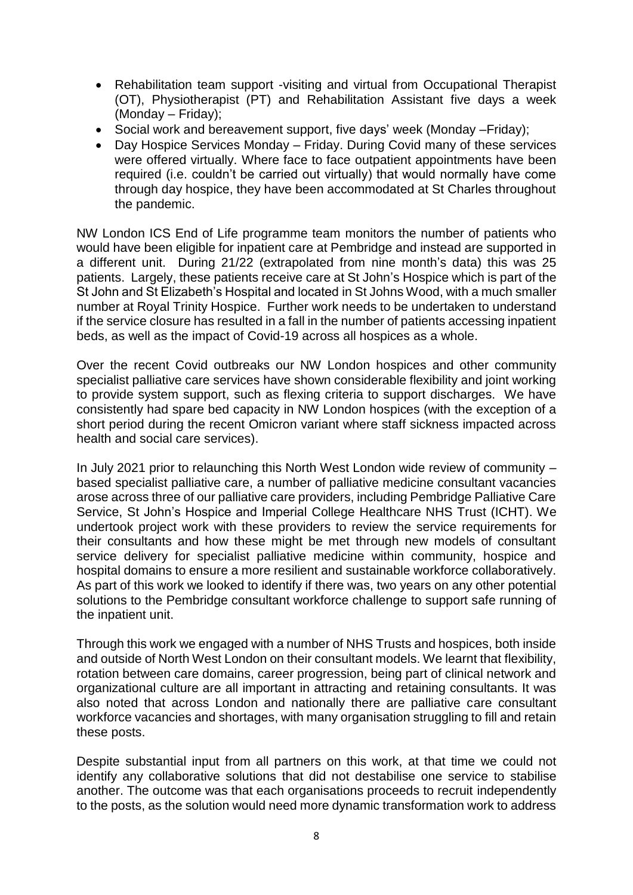- Rehabilitation team support -visiting and virtual from Occupational Therapist (OT), Physiotherapist (PT) and Rehabilitation Assistant five days a week (Monday – Friday);
- Social work and bereavement support, five days' week (Monday Friday);
- Day Hospice Services Monday Friday. During Covid many of these services were offered virtually. Where face to face outpatient appointments have been required (i.e. couldn't be carried out virtually) that would normally have come through day hospice, they have been accommodated at St Charles throughout the pandemic.

NW London ICS End of Life programme team monitors the number of patients who would have been eligible for inpatient care at Pembridge and instead are supported in a different unit. During 21/22 (extrapolated from nine month's data) this was 25 patients. Largely, these patients receive care at St John's Hospice which is part of the St John and St Elizabeth's Hospital and located in St Johns Wood, with a much smaller number at Royal Trinity Hospice. Further work needs to be undertaken to understand if the service closure has resulted in a fall in the number of patients accessing inpatient beds, as well as the impact of Covid-19 across all hospices as a whole.

Over the recent Covid outbreaks our NW London hospices and other community specialist palliative care services have shown considerable flexibility and joint working to provide system support, such as flexing criteria to support discharges. We have consistently had spare bed capacity in NW London hospices (with the exception of a short period during the recent Omicron variant where staff sickness impacted across health and social care services).

In July 2021 prior to relaunching this North West London wide review of community – based specialist palliative care, a number of palliative medicine consultant vacancies arose across three of our palliative care providers, including Pembridge Palliative Care Service, St John's Hospice and Imperial College Healthcare NHS Trust (ICHT). We undertook project work with these providers to review the service requirements for their consultants and how these might be met through new models of consultant service delivery for specialist palliative medicine within community, hospice and hospital domains to ensure a more resilient and sustainable workforce collaboratively. As part of this work we looked to identify if there was, two years on any other potential solutions to the Pembridge consultant workforce challenge to support safe running of the inpatient unit.

Through this work we engaged with a number of NHS Trusts and hospices, both inside and outside of North West London on their consultant models. We learnt that flexibility, rotation between care domains, career progression, being part of clinical network and organizational culture are all important in attracting and retaining consultants. It was also noted that across London and nationally there are palliative care consultant workforce vacancies and shortages, with many organisation struggling to fill and retain these posts.

Despite substantial input from all partners on this work, at that time we could not identify any collaborative solutions that did not destabilise one service to stabilise another. The outcome was that each organisations proceeds to recruit independently to the posts, as the solution would need more dynamic transformation work to address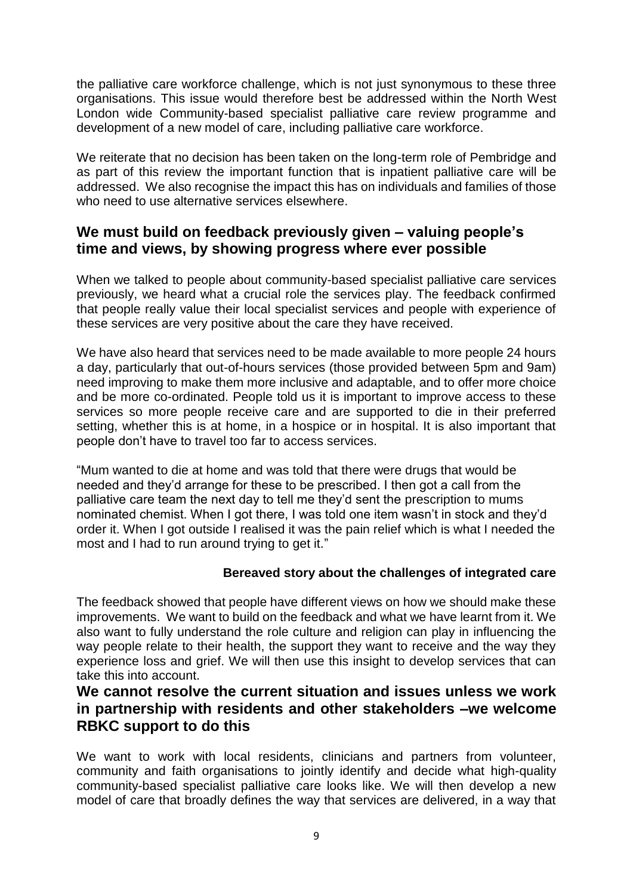the palliative care workforce challenge, which is not just synonymous to these three organisations. This issue would therefore best be addressed within the North West London wide Community-based specialist palliative care review programme and development of a new model of care, including palliative care workforce.

We reiterate that no decision has been taken on the long-term role of Pembridge and as part of this review the important function that is inpatient palliative care will be addressed. We also recognise the impact this has on individuals and families of those who need to use alternative services elsewhere.

### **We must build on feedback previously given – valuing people's time and views, by showing progress where ever possible**

When we talked to people about community-based specialist palliative care services previously, we heard what a crucial role the services play. The feedback confirmed that people really value their local specialist services and people with experience of these services are very positive about the care they have received.

We have also heard that services need to be made available to more people 24 hours a day, particularly that out-of-hours services (those provided between 5pm and 9am) need improving to make them more inclusive and adaptable, and to offer more choice and be more co-ordinated. People told us it is important to improve access to these services so more people receive care and are supported to die in their preferred setting, whether this is at home, in a hospice or in hospital. It is also important that people don't have to travel too far to access services.

"Mum wanted to die at home and was told that there were drugs that would be needed and they'd arrange for these to be prescribed. I then got a call from the palliative care team the next day to tell me they'd sent the prescription to mums nominated chemist. When I got there, I was told one item wasn't in stock and they'd order it. When I got outside I realised it was the pain relief which is what I needed the most and I had to run around trying to get it."

#### **Bereaved story about the challenges of integrated care**

The feedback showed that people have different views on how we should make these improvements. We want to build on the feedback and what we have learnt from it. We also want to fully understand the role culture and religion can play in influencing the way people relate to their health, the support they want to receive and the way they experience loss and grief. We will then use this insight to develop services that can take this into account.

### **We cannot resolve the current situation and issues unless we work in partnership with residents and other stakeholders –we welcome RBKC support to do this**

We want to work with local residents, clinicians and partners from volunteer, community and faith organisations to jointly identify and decide what high-quality community-based specialist palliative care looks like. We will then develop a new model of care that broadly defines the way that services are delivered, in a way that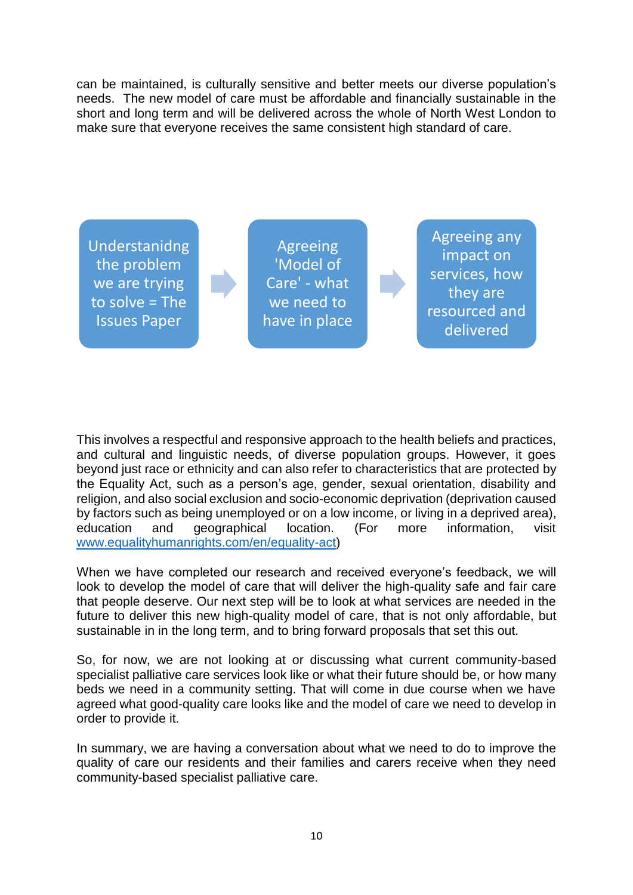can be maintained, is culturally sensitive and better meets our diverse population's needs. The new model of care must be affordable and financially sustainable in the short and long term and will be delivered across the whole of North West London to make sure that everyone receives the same consistent high standard of care.



This involves a respectful and responsive approach to the health beliefs and practices, and cultural and linguistic needs, of diverse population groups. However, it goes beyond just race or ethnicity and can also refer to characteristics that are protected by the Equality Act, such as a person's age, gender, sexual orientation, disability and religion, and also social exclusion and socio-economic deprivation (deprivation caused by factors such as being unemployed or on a low income, or living in a deprived area), education and geographical location. (For more information, visit [www.equalityhumanrights.com/en/equality-act\)](http://www.equalityhumanrights.com/en/equality-act)

When we have completed our research and received everyone's feedback, we will look to develop the model of care that will deliver the high-quality safe and fair care that people deserve. Our next step will be to look at what services are needed in the future to deliver this new high-quality model of care, that is not only affordable, but sustainable in in the long term, and to bring forward proposals that set this out.

So, for now, we are not looking at or discussing what current community-based specialist palliative care services look like or what their future should be, or how many beds we need in a community setting. That will come in due course when we have agreed what good-quality care looks like and the model of care we need to develop in order to provide it.

In summary, we are having a conversation about what we need to do to improve the quality of care our residents and their families and carers receive when they need community-based specialist palliative care.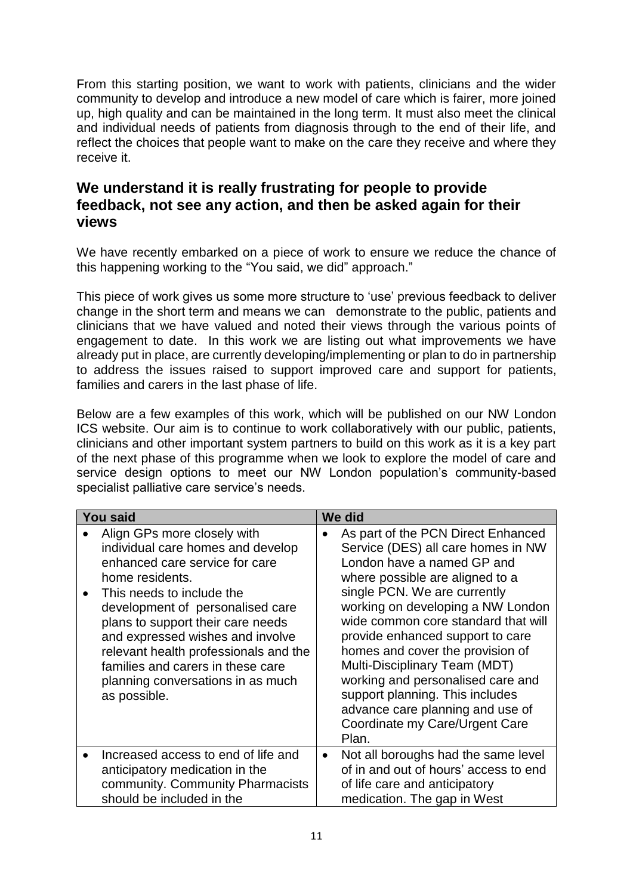From this starting position, we want to work with patients, clinicians and the wider community to develop and introduce a new model of care which is fairer, more joined up, high quality and can be maintained in the long term. It must also meet the clinical and individual needs of patients from diagnosis through to the end of their life, and reflect the choices that people want to make on the care they receive and where they receive it.

### **We understand it is really frustrating for people to provide feedback, not see any action, and then be asked again for their views**

We have recently embarked on a piece of work to ensure we reduce the chance of this happening working to the "You said, we did" approach."

This piece of work gives us some more structure to 'use' previous feedback to deliver change in the short term and means we can demonstrate to the public, patients and clinicians that we have valued and noted their views through the various points of engagement to date. In this work we are listing out what improvements we have already put in place, are currently developing/implementing or plan to do in partnership to address the issues raised to support improved care and support for patients, families and carers in the last phase of life.

Below are a few examples of this work, which will be published on our NW London ICS website. Our aim is to continue to work collaboratively with our public, patients, clinicians and other important system partners to build on this work as it is a key part of the next phase of this programme when we look to explore the model of care and service design options to meet our NW London population's community-based specialist palliative care service's needs.

| <b>You said</b>                                                                                                                                                                                                                                                                                                                                                                                    | We did    |                                                                                                                                                                                                                                                                                                                                                                                                                                                                                                                       |
|----------------------------------------------------------------------------------------------------------------------------------------------------------------------------------------------------------------------------------------------------------------------------------------------------------------------------------------------------------------------------------------------------|-----------|-----------------------------------------------------------------------------------------------------------------------------------------------------------------------------------------------------------------------------------------------------------------------------------------------------------------------------------------------------------------------------------------------------------------------------------------------------------------------------------------------------------------------|
| Align GPs more closely with<br>individual care homes and develop<br>enhanced care service for care<br>home residents.<br>This needs to include the<br>development of personalised care<br>plans to support their care needs<br>and expressed wishes and involve<br>relevant health professionals and the<br>families and carers in these care<br>planning conversations in as much<br>as possible. |           | As part of the PCN Direct Enhanced<br>Service (DES) all care homes in NW<br>London have a named GP and<br>where possible are aligned to a<br>single PCN. We are currently<br>working on developing a NW London<br>wide common core standard that will<br>provide enhanced support to care<br>homes and cover the provision of<br>Multi-Disciplinary Team (MDT)<br>working and personalised care and<br>support planning. This includes<br>advance care planning and use of<br>Coordinate my Care/Urgent Care<br>Plan. |
| Increased access to end of life and<br>anticipatory medication in the<br>community. Community Pharmacists<br>should be included in the                                                                                                                                                                                                                                                             | $\bullet$ | Not all boroughs had the same level<br>of in and out of hours' access to end<br>of life care and anticipatory<br>medication. The gap in West                                                                                                                                                                                                                                                                                                                                                                          |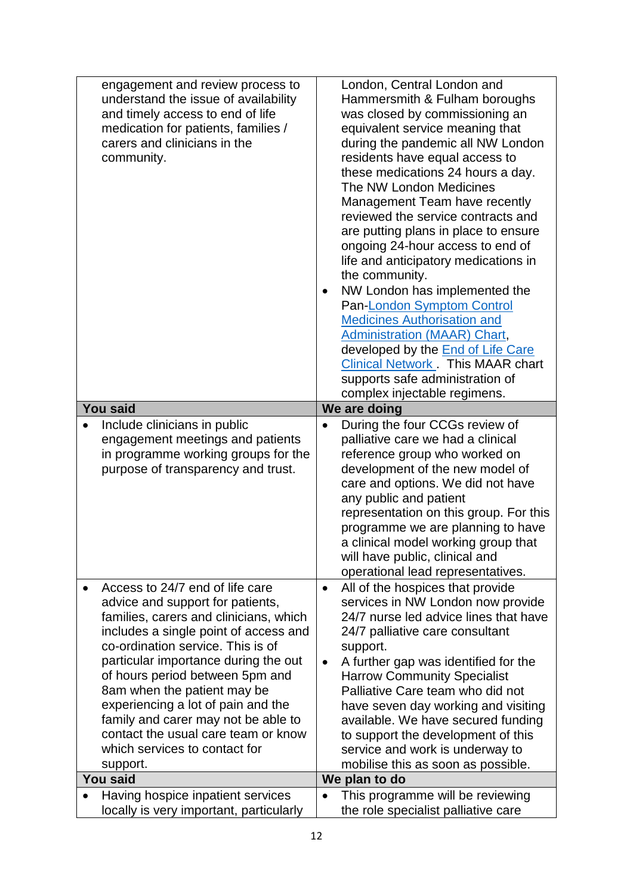| engagement and review process to        |           | London, Central London and               |
|-----------------------------------------|-----------|------------------------------------------|
| understand the issue of availability    |           | Hammersmith & Fulham boroughs            |
| and timely access to end of life        |           | was closed by commissioning an           |
| medication for patients, families /     |           | equivalent service meaning that          |
| carers and clinicians in the            |           | during the pandemic all NW London        |
| community.                              |           | residents have equal access to           |
|                                         |           | these medications 24 hours a day.        |
|                                         |           | The NW London Medicines                  |
|                                         |           | Management Team have recently            |
|                                         |           | reviewed the service contracts and       |
|                                         |           | are putting plans in place to ensure     |
|                                         |           | ongoing 24-hour access to end of         |
|                                         |           | life and anticipatory medications in     |
|                                         |           | the community.                           |
|                                         |           |                                          |
|                                         |           | NW London has implemented the            |
|                                         |           | Pan-London Symptom Control               |
|                                         |           | <b>Medicines Authorisation and</b>       |
|                                         |           | <b>Administration (MAAR) Chart,</b>      |
|                                         |           | developed by the <b>End of Life Care</b> |
|                                         |           | <b>Clinical Network</b> This MAAR chart  |
|                                         |           | supports safe administration of          |
|                                         |           | complex injectable regimens.             |
| <b>You said</b>                         |           | We are doing                             |
| Include clinicians in public            |           | During the four CCGs review of           |
| engagement meetings and patients        |           | palliative care we had a clinical        |
| in programme working groups for the     |           | reference group who worked on            |
| purpose of transparency and trust.      |           | development of the new model of          |
|                                         |           | care and options. We did not have        |
|                                         |           | any public and patient                   |
|                                         |           | representation on this group. For this   |
|                                         |           | programme we are planning to have        |
|                                         |           | a clinical model working group that      |
|                                         |           | will have public, clinical and           |
|                                         |           | operational lead representatives.        |
| Access to 24/7 end of life care         | $\bullet$ | All of the hospices that provide         |
| advice and support for patients,        |           | services in NW London now provide        |
| families, carers and clinicians, which  |           | 24/7 nurse led advice lines that have    |
| includes a single point of access and   |           | 24/7 palliative care consultant          |
| co-ordination service. This is of       |           | support.                                 |
| particular importance during the out    |           | A further gap was identified for the     |
| of hours period between 5pm and         |           | <b>Harrow Community Specialist</b>       |
| 8am when the patient may be             |           | Palliative Care team who did not         |
| experiencing a lot of pain and the      |           | have seven day working and visiting      |
| family and carer may not be able to     |           | available. We have secured funding       |
| contact the usual care team or know     |           | to support the development of this       |
| which services to contact for           |           | service and work is underway to          |
| support.                                |           | mobilise this as soon as possible.       |
| <b>You said</b>                         |           | We plan to do                            |
| Having hospice inpatient services       |           | This programme will be reviewing         |
| locally is very important, particularly |           | the role specialist palliative care      |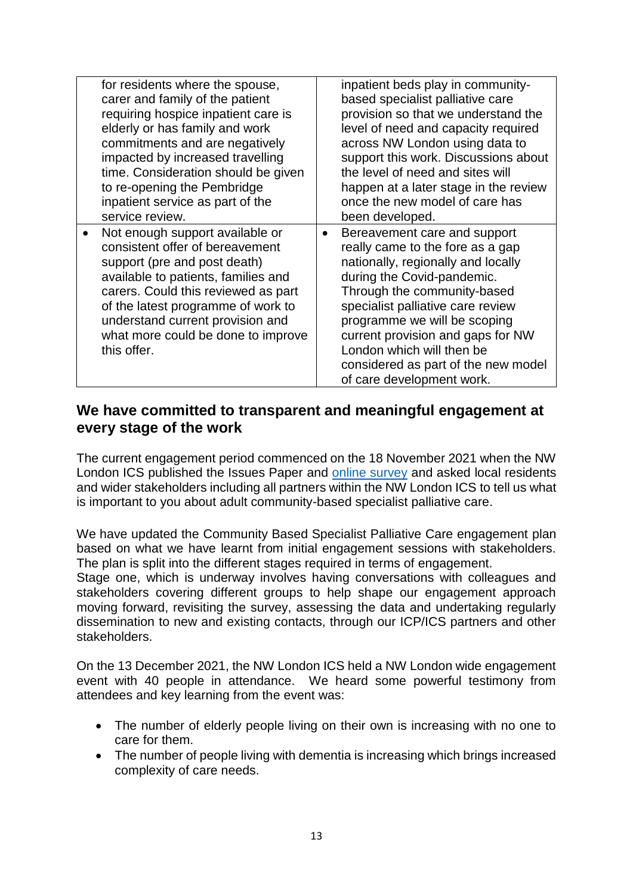| for residents where the spouse,<br>carer and family of the patient<br>requiring hospice inpatient care is<br>elderly or has family and work<br>commitments and are negatively<br>impacted by increased travelling<br>time. Consideration should be given<br>to re-opening the Pembridge<br>inpatient service as part of the<br>service review. | inpatient beds play in community-<br>based specialist palliative care<br>provision so that we understand the<br>level of need and capacity required<br>across NW London using data to<br>support this work. Discussions about<br>the level of need and sites will<br>happen at a later stage in the review<br>once the new model of care has<br>been developed.                             |
|------------------------------------------------------------------------------------------------------------------------------------------------------------------------------------------------------------------------------------------------------------------------------------------------------------------------------------------------|---------------------------------------------------------------------------------------------------------------------------------------------------------------------------------------------------------------------------------------------------------------------------------------------------------------------------------------------------------------------------------------------|
| Not enough support available or<br>consistent offer of bereavement<br>support (pre and post death)<br>available to patients, families and<br>carers. Could this reviewed as part<br>of the latest programme of work to<br>understand current provision and<br>what more could be done to improve<br>this offer.                                | Bereavement care and support<br>$\bullet$<br>really came to the fore as a gap<br>nationally, regionally and locally<br>during the Covid-pandemic.<br>Through the community-based<br>specialist palliative care review<br>programme we will be scoping<br>current provision and gaps for NW<br>London which will then be<br>considered as part of the new model<br>of care development work. |

### **We have committed to transparent and meaningful engagement at every stage of the work**

The current engagement period commenced on the 18 November 2021 when the NW London ICS published the Issues Paper and [online survey](https://form.jotform.com/213184036931048) and asked local residents and wider stakeholders including all partners within the NW London ICS to tell us what is important to you about adult community-based specialist palliative care.

We have updated the Community Based Specialist Palliative Care engagement plan based on what we have learnt from initial engagement sessions with stakeholders. The plan is split into the different stages required in terms of engagement.

Stage one, which is underway involves having conversations with colleagues and stakeholders covering different groups to help shape our engagement approach moving forward, revisiting the survey, assessing the data and undertaking regularly dissemination to new and existing contacts, through our ICP/ICS partners and other stakeholders.

On the 13 December 2021, the NW London ICS held a NW London wide engagement event with 40 people in attendance. We heard some powerful testimony from attendees and key learning from the event was:

- The number of elderly people living on their own is increasing with no one to care for them.
- The number of people living with dementia is increasing which brings increased complexity of care needs.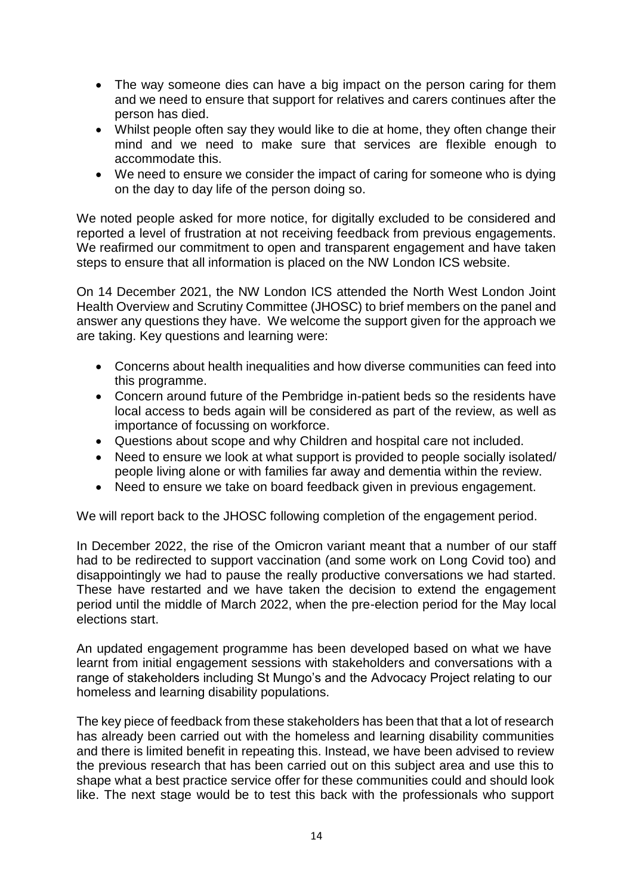- The way someone dies can have a big impact on the person caring for them and we need to ensure that support for relatives and carers continues after the person has died.
- Whilst people often say they would like to die at home, they often change their mind and we need to make sure that services are flexible enough to accommodate this.
- We need to ensure we consider the impact of caring for someone who is dying on the day to day life of the person doing so.

We noted people asked for more notice, for digitally excluded to be considered and reported a level of frustration at not receiving feedback from previous engagements. We reafirmed our commitment to open and transparent engagement and have taken steps to ensure that all information is placed on the NW London ICS website.

On 14 December 2021, the NW London ICS attended the North West London Joint Health Overview and Scrutiny Committee (JHOSC) to brief members on the panel and answer any questions they have. We welcome the support given for the approach we are taking. Key questions and learning were:

- Concerns about health inequalities and how diverse communities can feed into this programme.
- Concern around future of the Pembridge in-patient beds so the residents have local access to beds again will be considered as part of the review, as well as importance of focussing on workforce.
- Questions about scope and why Children and hospital care not included.
- Need to ensure we look at what support is provided to people socially isolated/ people living alone or with families far away and dementia within the review.
- Need to ensure we take on board feedback given in previous engagement.

We will report back to the JHOSC following completion of the engagement period.

In December 2022, the rise of the Omicron variant meant that a number of our staff had to be redirected to support vaccination (and some work on Long Covid too) and disappointingly we had to pause the really productive conversations we had started. These have restarted and we have taken the decision to extend the engagement period until the middle of March 2022, when the pre-election period for the May local elections start.

An updated engagement programme has been developed based on what we have learnt from initial engagement sessions with stakeholders and conversations with a range of stakeholders including St Mungo's and the Advocacy Project relating to our homeless and learning disability populations.

The key piece of feedback from these stakeholders has been that that a lot of research has already been carried out with the homeless and learning disability communities and there is limited benefit in repeating this. Instead, we have been advised to review the previous research that has been carried out on this subject area and use this to shape what a best practice service offer for these communities could and should look like. The next stage would be to test this back with the professionals who support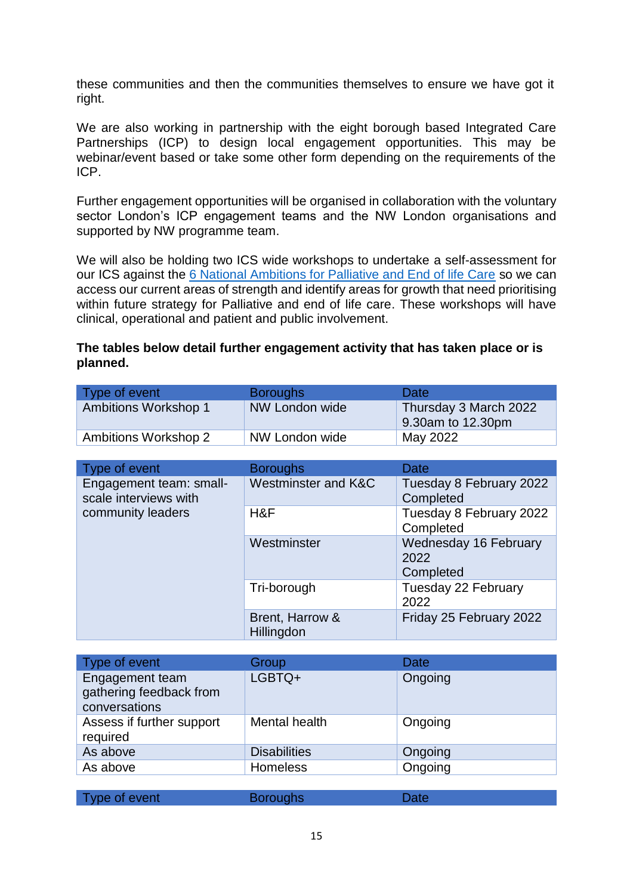these communities and then the communities themselves to ensure we have got it right.

We are also working in partnership with the eight borough based Integrated Care Partnerships (ICP) to design local engagement opportunities. This may be webinar/event based or take some other form depending on the requirements of the ICP.

Further engagement opportunities will be organised in collaboration with the voluntary sector London's ICP engagement teams and the NW London organisations and supported by NW programme team.

We will also be holding two ICS wide workshops to undertake a self-assessment for our ICS against the [6 National Ambitions for Palliative and End of life Care](https://acpopc.csp.org.uk/system/files/documents/2021-05/FINAL_Ambitions-for-Palliative-and-End-of-Life-Care_2nd_edition.pdf) so we can access our current areas of strength and identify areas for growth that need prioritising within future strategy for Palliative and end of life care. These workshops will have clinical, operational and patient and public involvement.

#### **The tables below detail further engagement activity that has taken place or is planned.**

| Type of event        | <b>Boroughs</b> | <b>Date</b>                                |
|----------------------|-----------------|--------------------------------------------|
| Ambitions Workshop 1 | NW London wide  | Thursday 3 March 2022<br>9.30am to 12.30pm |
| Ambitions Workshop 2 | NW London wide  | May 2022                                   |

| Type of event                                    | <b>Boroughs</b>                      | Date                                       |
|--------------------------------------------------|--------------------------------------|--------------------------------------------|
| Engagement team: small-<br>scale interviews with | Westminster and K&C                  | Tuesday 8 February 2022<br>Completed       |
| community leaders                                | H&F                                  | Tuesday 8 February 2022<br>Completed       |
|                                                  | Westminster                          | Wednesday 16 February<br>2022<br>Completed |
|                                                  | Tri-borough                          | Tuesday 22 February<br>2022                |
|                                                  | Brent, Harrow &<br><b>Hillingdon</b> | Friday 25 February 2022                    |

| Type of event                                               | Group               | Date    |
|-------------------------------------------------------------|---------------------|---------|
| Engagement team<br>gathering feedback from<br>conversations | LGBTQ+              | Ongoing |
| Assess if further support<br>required                       | Mental health       | Ongoing |
| As above                                                    | <b>Disabilities</b> | Ongoing |
| As above                                                    | <b>Homeless</b>     | Ongoing |
|                                                             |                     |         |

| Type of event | <b>Boroughs</b> | <b>Date</b> |  |
|---------------|-----------------|-------------|--|
|               |                 |             |  |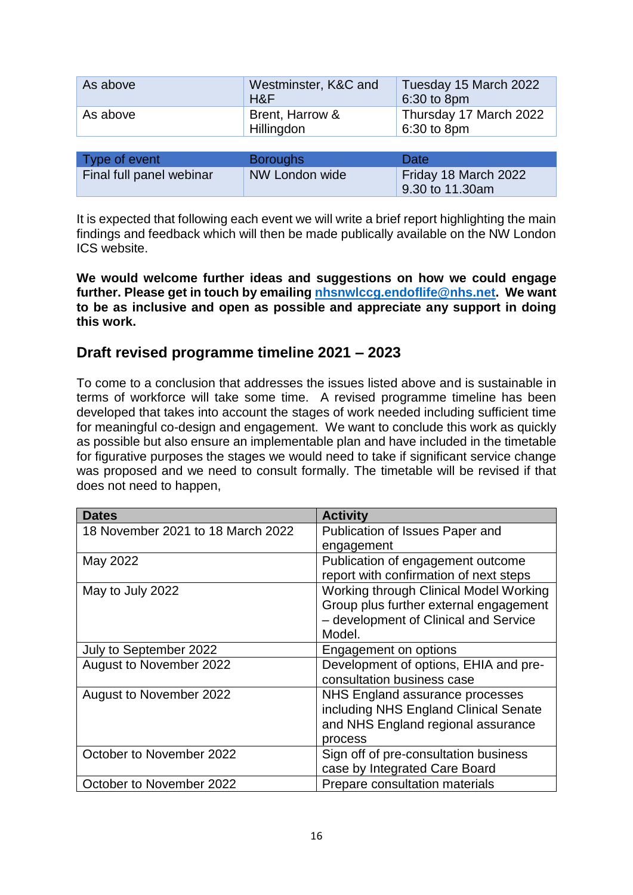| As above | Westminster, K&C and<br>H&F   | Tuesday 15 March 2022<br>6:30 to 8pm  |
|----------|-------------------------------|---------------------------------------|
| As above | Brent, Harrow &<br>Hillingdon | Thursday 17 March 2022<br>6:30 to 8pm |
|          |                               |                                       |

| Type of event            | <b>Boroughs</b> | Date <sup>®</sup>                       |
|--------------------------|-----------------|-----------------------------------------|
| Final full panel webinar | NW London wide  | Friday 18 March 2022<br>9.30 to 11.30am |

It is expected that following each event we will write a brief report highlighting the main findings and feedback which will then be made publically available on the NW London ICS website.

**We would welcome further ideas and suggestions on how we could engage further. Please get in touch by emailing [nhsnwlccg.endoflife@nhs.net.](mailto:nhsnwlccg.endoflife@nhs.net) We want to be as inclusive and open as possible and appreciate any support in doing this work.**

### **Draft revised programme timeline 2021 – 2023**

To come to a conclusion that addresses the issues listed above and is sustainable in terms of workforce will take some time. A revised programme timeline has been developed that takes into account the stages of work needed including sufficient time for meaningful co-design and engagement. We want to conclude this work as quickly as possible but also ensure an implementable plan and have included in the timetable for figurative purposes the stages we would need to take if significant service change was proposed and we need to consult formally. The timetable will be revised if that does not need to happen,

| <b>Dates</b>                      | <b>Activity</b>                        |
|-----------------------------------|----------------------------------------|
| 18 November 2021 to 18 March 2022 | Publication of Issues Paper and        |
|                                   | engagement                             |
| May 2022                          | Publication of engagement outcome      |
|                                   | report with confirmation of next steps |
| May to July 2022                  | Working through Clinical Model Working |
|                                   | Group plus further external engagement |
|                                   | - development of Clinical and Service  |
|                                   | Model.                                 |
| July to September 2022            | Engagement on options                  |
| August to November 2022           | Development of options, EHIA and pre-  |
|                                   | consultation business case             |
| August to November 2022           | NHS England assurance processes        |
|                                   | including NHS England Clinical Senate  |
|                                   | and NHS England regional assurance     |
|                                   | process                                |
| October to November 2022          | Sign off of pre-consultation business  |
|                                   | case by Integrated Care Board          |
| October to November 2022          | Prepare consultation materials         |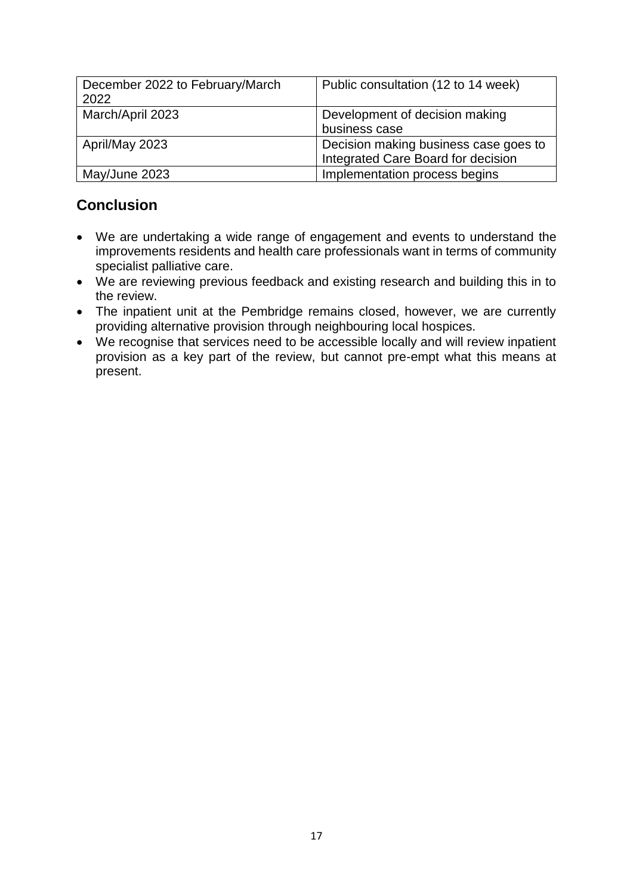| December 2022 to February/March<br>2022 | Public consultation (12 to 14 week)                                         |
|-----------------------------------------|-----------------------------------------------------------------------------|
| March/April 2023                        | Development of decision making<br>business case                             |
| April/May 2023                          | Decision making business case goes to<br>Integrated Care Board for decision |
| May/June 2023                           | Implementation process begins                                               |

# **Conclusion**

- We are undertaking a wide range of engagement and events to understand the improvements residents and health care professionals want in terms of community specialist palliative care.
- We are reviewing previous feedback and existing research and building this in to the review.
- The inpatient unit at the Pembridge remains closed, however, we are currently providing alternative provision through neighbouring local hospices.
- We recognise that services need to be accessible locally and will review inpatient provision as a key part of the review, but cannot pre-empt what this means at present.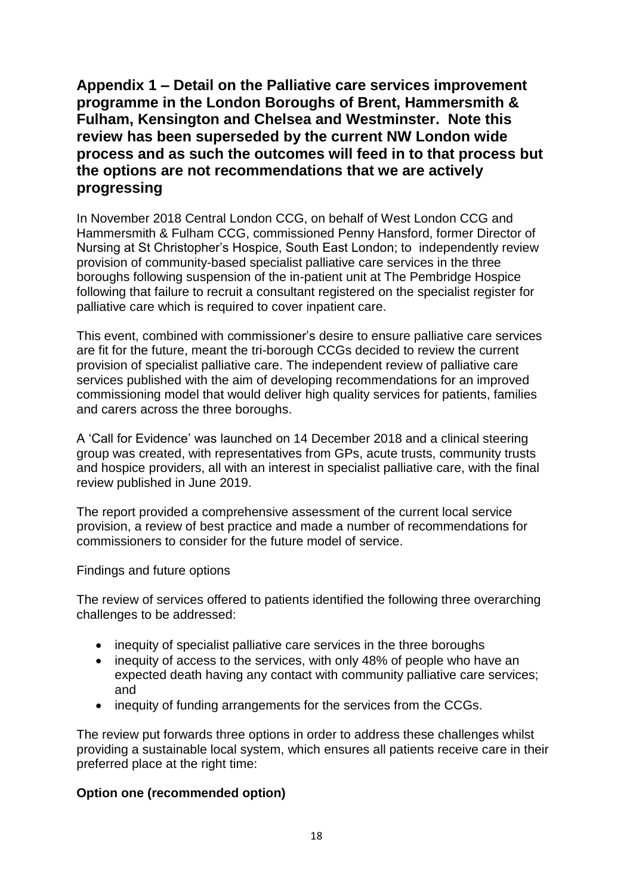**Appendix 1 – Detail on the Palliative care services improvement programme in the London Boroughs of Brent, Hammersmith & Fulham, Kensington and Chelsea and Westminster. Note this review has been superseded by the current NW London wide process and as such the outcomes will feed in to that process but the options are not recommendations that we are actively progressing** 

In November 2018 Central London CCG, on behalf of West London CCG and Hammersmith & Fulham CCG, commissioned Penny Hansford, former Director of Nursing at St Christopher's Hospice, South East London; to independently review provision of community-based specialist palliative care services in the three boroughs following suspension of the in-patient unit at The Pembridge Hospice following that failure to recruit a consultant registered on the specialist register for palliative care which is required to cover inpatient care.

This event, combined with commissioner's desire to ensure palliative care services are fit for the future, meant the tri-borough CCGs decided to review the current provision of specialist palliative care. The independent review of palliative care services published with the aim of developing recommendations for an improved commissioning model that would deliver high quality services for patients, families and carers across the three boroughs.

A 'Call for Evidence' was launched on 14 December 2018 and a clinical steering group was created, with representatives from GPs, acute trusts, community trusts and hospice providers, all with an interest in specialist palliative care, with the final review published in June 2019.

The report provided a comprehensive assessment of the current local service provision, a review of best practice and made a number of recommendations for commissioners to consider for the future model of service.

Findings and future options

The review of services offered to patients identified the following three overarching challenges to be addressed:

- inequity of specialist palliative care services in the three boroughs
- inequity of access to the services, with only 48% of people who have an expected death having any contact with community palliative care services; and
- inequity of funding arrangements for the services from the CCGs.

The review put forwards three options in order to address these challenges whilst providing a sustainable local system, which ensures all patients receive care in their preferred place at the right time:

#### **Option one (recommended option)**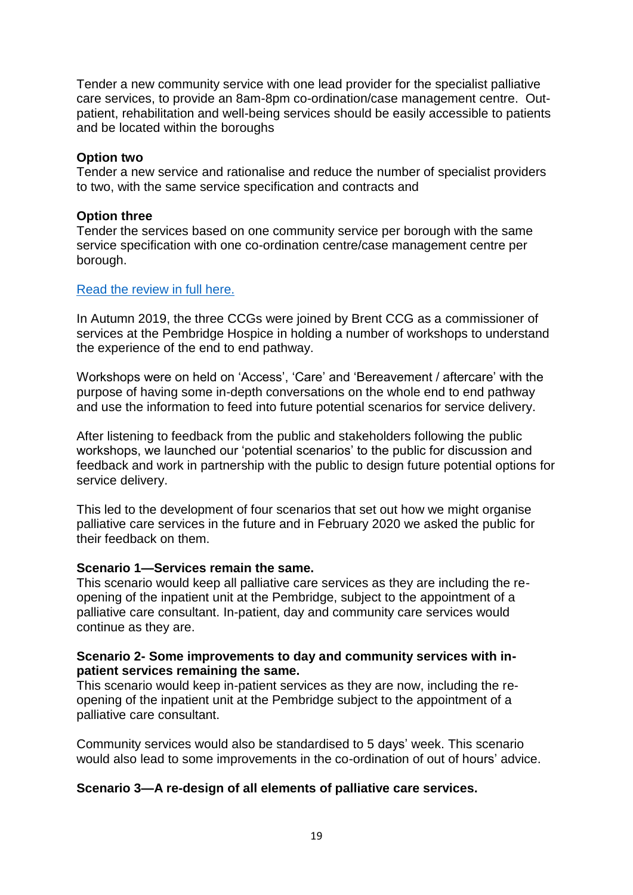Tender a new community service with one lead provider for the specialist palliative care services, to provide an 8am-8pm co-ordination/case management centre. Outpatient, rehabilitation and well-being services should be easily accessible to patients and be located within the boroughs

#### **Option two**

Tender a new service and rationalise and reduce the number of specialist providers to two, with the same service specification and contracts and

#### **Option three**

Tender the services based on one community service per borough with the same service specification with one co-ordination centre/case management centre per borough.

#### [Read the review in full here.](https://www.nwlondonics.nhs.uk/application/files/3016/4207/1132/PJH4_Independent_review_palliative_care_report_June_2019.pdf)

In Autumn 2019, the three CCGs were joined by Brent CCG as a commissioner of services at the Pembridge Hospice in holding a number of workshops to understand the experience of the end to end pathway.

Workshops were on held on 'Access', 'Care' and 'Bereavement / aftercare' with the purpose of having some in-depth conversations on the whole end to end pathway and use the information to feed into future potential scenarios for service delivery.

After listening to feedback from the public and stakeholders following the public workshops, we launched our 'potential scenarios' to the public for discussion and feedback and work in partnership with the public to design future potential options for service delivery.

This led to the development of four scenarios that set out how we might organise palliative care services in the future and in February 2020 we asked the public for their feedback on them.

#### **Scenario 1—Services remain the same.**

This scenario would keep all palliative care services as they are including the reopening of the inpatient unit at the Pembridge, subject to the appointment of a palliative care consultant. In-patient, day and community care services would continue as they are.

#### **Scenario 2- Some improvements to day and community services with inpatient services remaining the same.**

This scenario would keep in-patient services as they are now, including the reopening of the inpatient unit at the Pembridge subject to the appointment of a palliative care consultant.

Community services would also be standardised to 5 days' week. This scenario would also lead to some improvements in the co-ordination of out of hours' advice.

#### **Scenario 3—A re-design of all elements of palliative care services.**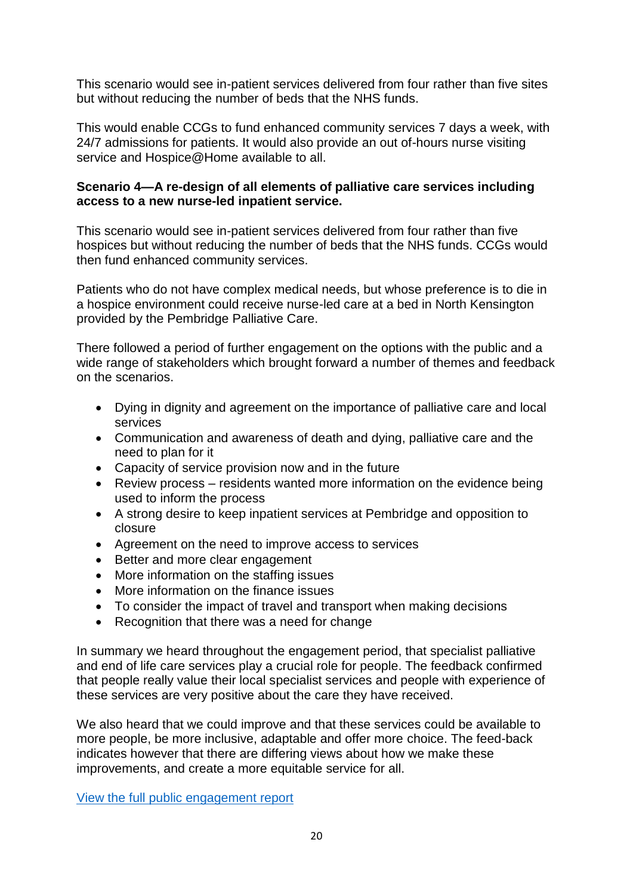This scenario would see in-patient services delivered from four rather than five sites but without reducing the number of beds that the NHS funds.

This would enable CCGs to fund enhanced community services 7 days a week, with 24/7 admissions for patients. It would also provide an out of-hours nurse visiting service and Hospice@Home available to all.

#### **Scenario 4—A re-design of all elements of palliative care services including access to a new nurse-led inpatient service.**

This scenario would see in-patient services delivered from four rather than five hospices but without reducing the number of beds that the NHS funds. CCGs would then fund enhanced community services.

Patients who do not have complex medical needs, but whose preference is to die in a hospice environment could receive nurse-led care at a bed in North Kensington provided by the Pembridge Palliative Care.

There followed a period of further engagement on the options with the public and a wide range of stakeholders which brought forward a number of themes and feedback on the scenarios.

- Dying in dignity and agreement on the importance of palliative care and local services
- Communication and awareness of death and dying, palliative care and the need to plan for it
- Capacity of service provision now and in the future
- Review process residents wanted more information on the evidence being used to inform the process
- A strong desire to keep inpatient services at Pembridge and opposition to closure
- Agreement on the need to improve access to services
- Better and more clear engagement
- More information on the staffing issues
- More information on the finance issues
- To consider the impact of travel and transport when making decisions
- Recognition that there was a need for change

In summary we heard throughout the engagement period, that specialist palliative and end of life care services play a crucial role for people. The feedback confirmed that people really value their local specialist services and people with experience of these services are very positive about the care they have received.

We also heard that we could improve and that these services could be available to more people, be more inclusive, adaptable and offer more choice. The feed-back indicates however that there are differing views about how we make these improvements, and create a more equitable service for all.

[View the full public engagement report](https://www.nwlondonics.nhs.uk/application/files/3516/4207/1384/Tri-borough_palliative_care_engagement_report_July_2020.pdf)